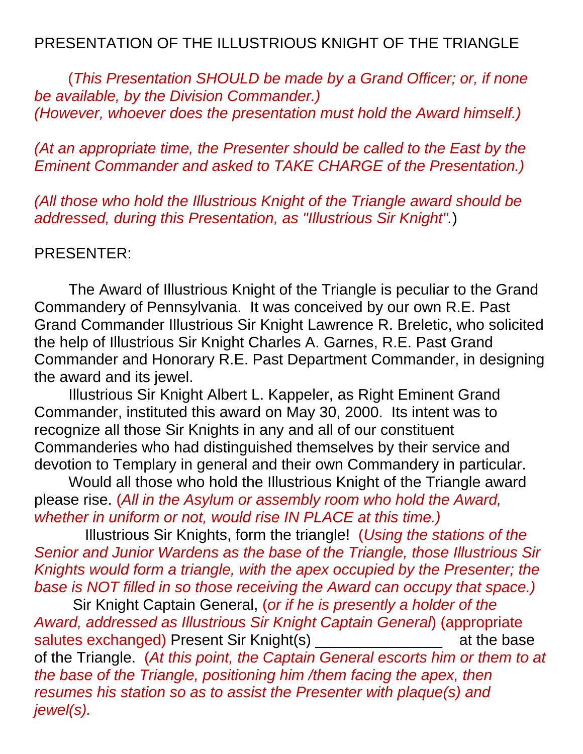## PRESENTATION OF THE ILLUSTRIOUS KNIGHT OF THE TRIANGLE

 (*This Presentation SHOULD be made by a Grand Officer; or, if none be available, by the Division Commander.) (However, whoever does the presentation must hold the Award himself.)*

*(At an appropriate time, the Presenter should be called to the East by the Eminent Commander and asked to TAKE CHARGE of the Presentation.)* 

*(All those who hold the Illustrious Knight of the Triangle award should be addressed, during this Presentation, as "Illustrious Sir Knight".*)

## PRESENTER:

The Award of Illustrious Knight of the Triangle is peculiar to the Grand Commandery of Pennsylvania. It was conceived by our own R.E. Past Grand Commander Illustrious Sir Knight Lawrence R. Breletic, who solicited the help of Illustrious Sir Knight Charles A. Garnes, R.E. Past Grand Commander and Honorary R.E. Past Department Commander, in designing the award and its jewel.

Illustrious Sir Knight Albert L. Kappeler, as Right Eminent Grand Commander, instituted this award on May 30, 2000. Its intent was to recognize all those Sir Knights in any and all of our constituent Commanderies who had distinguished themselves by their service and devotion to Templary in general and their own Commandery in particular.

Would all those who hold the Illustrious Knight of the Triangle award please rise. (*All in the Asylum or assembly room who hold the Award, whether in uniform or not, would rise IN PLACE at this time.)*

 Illustrious Sir Knights, form the triangle! (*Using the stations of the Senior and Junior Wardens as the base of the Triangle, those Illustrious Sir Knights would form a triangle, with the apex occupied by the Presenter; the base is NOT filled in so those receiving the Award can occupy that space.)*

 Sir Knight Captain General, (*or if he is presently a holder of the Award, addressed as Illustrious Sir Knight Captain General*) (appropriate salutes exchanged) Present Sir Knight(s) The same at the base of the Triangle. (*At this point, the Captain General escorts him or them to at the base of the Triangle, positioning him /them facing the apex, then resumes his station so as to assist the Presenter with plaque(s) and jewel(s).*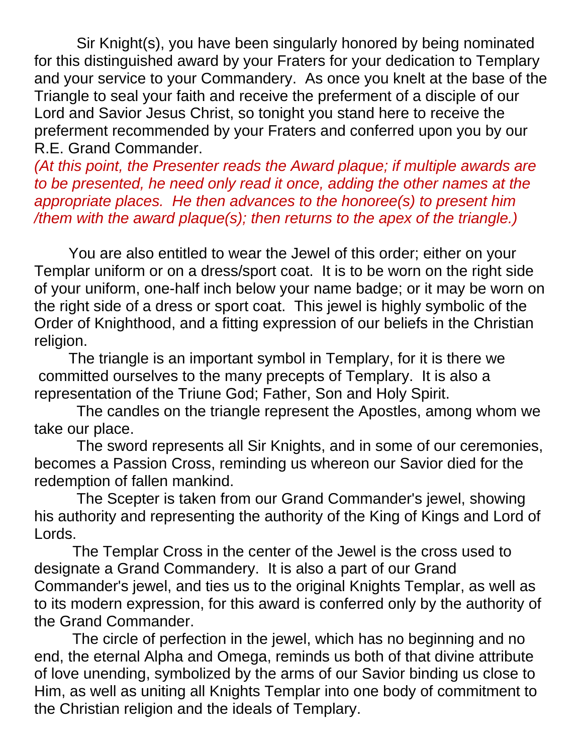Sir Knight(s), you have been singularly honored by being nominated for this distinguished award by your Fraters for your dedication to Templary and your service to your Commandery. As once you knelt at the base of the Triangle to seal your faith and receive the preferment of a disciple of our Lord and Savior Jesus Christ, so tonight you stand here to receive the preferment recommended by your Fraters and conferred upon you by our R.E. Grand Commander.

*(At this point, the Presenter reads the Award plaque; if multiple awards are to be presented, he need only read it once, adding the other names at the appropriate places. He then advances to the honoree(s) to present him /them with the award plaque(s); then returns to the apex of the triangle.)* 

You are also entitled to wear the Jewel of this order; either on your Templar uniform or on a dress/sport coat. It is to be worn on the right side of your uniform, one-half inch below your name badge; or it may be worn on the right side of a dress or sport coat. This jewel is highly symbolic of the Order of Knighthood, and a fitting expression of our beliefs in the Christian religion.

The triangle is an important symbol in Templary, for it is there we committed ourselves to the many precepts of Templary. It is also a representation of the Triune God; Father, Son and Holy Spirit.

 The candles on the triangle represent the Apostles, among whom we take our place.

 The sword represents all Sir Knights, and in some of our ceremonies, becomes a Passion Cross, reminding us whereon our Savior died for the redemption of fallen mankind.

 The Scepter is taken from our Grand Commander's jewel, showing his authority and representing the authority of the King of Kings and Lord of Lords.

 The Templar Cross in the center of the Jewel is the cross used to designate a Grand Commandery. It is also a part of our Grand Commander's jewel, and ties us to the original Knights Templar, as well as to its modern expression, for this award is conferred only by the authority of the Grand Commander.

 The circle of perfection in the jewel, which has no beginning and no end, the eternal Alpha and Omega, reminds us both of that divine attribute of love unending, symbolized by the arms of our Savior binding us close to Him, as well as uniting all Knights Templar into one body of commitment to the Christian religion and the ideals of Templary.